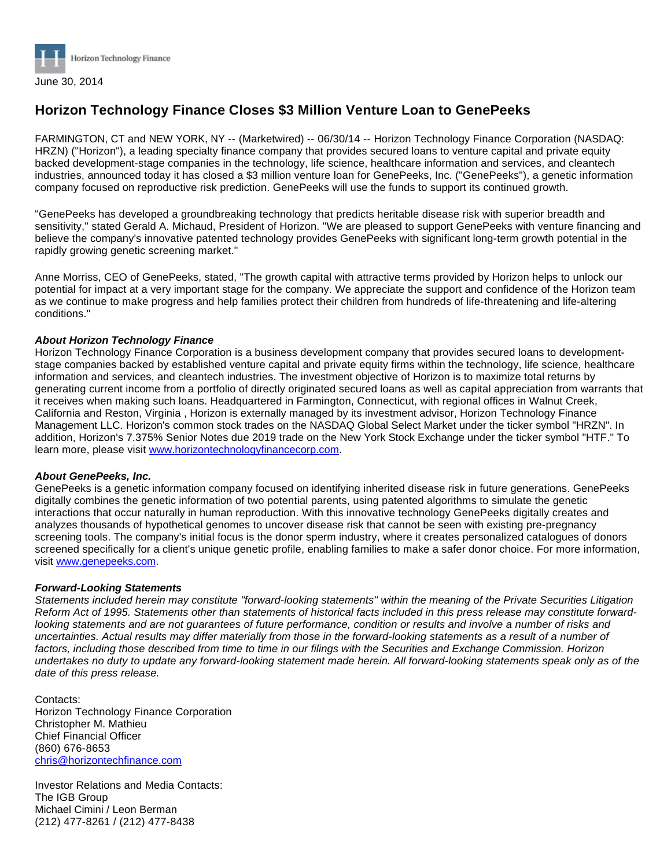

## **Horizon Technology Finance Closes \$3 Million Venture Loan to GenePeeks**

FARMINGTON, CT and NEW YORK, NY -- (Marketwired) -- 06/30/14 -- Horizon Technology Finance Corporation (NASDAQ: HRZN) ("Horizon"), a leading specialty finance company that provides secured loans to venture capital and private equity backed development-stage companies in the technology, life science, healthcare information and services, and cleantech industries, announced today it has closed a \$3 million venture loan for GenePeeks, Inc. ("GenePeeks"), a genetic information company focused on reproductive risk prediction. GenePeeks will use the funds to support its continued growth.

"GenePeeks has developed a groundbreaking technology that predicts heritable disease risk with superior breadth and sensitivity," stated Gerald A. Michaud, President of Horizon. "We are pleased to support GenePeeks with venture financing and believe the company's innovative patented technology provides GenePeeks with significant long-term growth potential in the rapidly growing genetic screening market."

Anne Morriss, CEO of GenePeeks, stated, "The growth capital with attractive terms provided by Horizon helps to unlock our potential for impact at a very important stage for the company. We appreciate the support and confidence of the Horizon team as we continue to make progress and help families protect their children from hundreds of life-threatening and life-altering conditions."

## **About Horizon Technology Finance**

Horizon Technology Finance Corporation is a business development company that provides secured loans to developmentstage companies backed by established venture capital and private equity firms within the technology, life science, healthcare information and services, and cleantech industries. The investment objective of Horizon is to maximize total returns by generating current income from a portfolio of directly originated secured loans as well as capital appreciation from warrants that it receives when making such loans. Headquartered in Farmington, Connecticut, with regional offices in Walnut Creek, California and Reston, Virginia , Horizon is externally managed by its investment advisor, Horizon Technology Finance Management LLC. Horizon's common stock trades on the NASDAQ Global Select Market under the ticker symbol "HRZN". In addition, Horizon's 7.375% Senior Notes due 2019 trade on the New York Stock Exchange under the ticker symbol "HTF." To learn more, please visit [www.horizontechnologyfinancecorp.com](http://www.horizontechnologyfinancecorp.com/).

## **About GenePeeks, Inc.**

GenePeeks is a genetic information company focused on identifying inherited disease risk in future generations. GenePeeks digitally combines the genetic information of two potential parents, using patented algorithms to simulate the genetic interactions that occur naturally in human reproduction. With this innovative technology GenePeeks digitally creates and analyzes thousands of hypothetical genomes to uncover disease risk that cannot be seen with existing pre-pregnancy screening tools. The company's initial focus is the donor sperm industry, where it creates personalized catalogues of donors screened specifically for a client's unique genetic profile, enabling families to make a safer donor choice. For more information, visit [www.genepeeks.com](http://www.genepeeks.com/).

## **Forward-Looking Statements**

Statements included herein may constitute "forward-looking statements" within the meaning of the Private Securities Litigation Reform Act of 1995. Statements other than statements of historical facts included in this press release may constitute forwardlooking statements and are not guarantees of future performance, condition or results and involve a number of risks and uncertainties. Actual results may differ materially from those in the forward-looking statements as a result of a number of factors, including those described from time to time in our filings with the Securities and Exchange Commission. Horizon undertakes no duty to update any forward-looking statement made herein. All forward-looking statements speak only as of the date of this press release.

Contacts: Horizon Technology Finance Corporation Christopher M. Mathieu Chief Financial Officer (860) 676-8653 [chris@horizontechfinance.com](mailto:chris@horizontechfinance.com)

Investor Relations and Media Contacts: The IGB Group Michael Cimini / Leon Berman (212) 477-8261 / (212) 477-8438